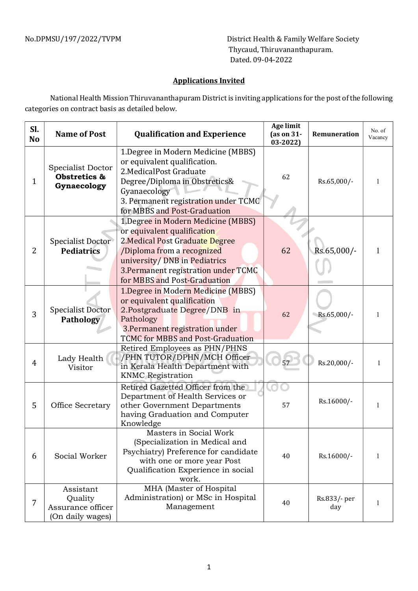No.DPMSU/197/2022/TVPM District Health & Family Welfare Society Thycaud, Thiruvananthapuram. Dated. 09-04-2022

## Applications Invited

National Health Mission Thiruvananthapuram District is inviting applications for the post of the following categories on contract basis as detailed below.

| Sl.<br>N <sub>o</sub> | <b>Name of Post</b>                                           | <b>Qualification and Experience</b>                                                                                                                                                                                                         | <b>Age limit</b><br>(as on 31-<br>$03 - 2022$ | <b>Remuneration</b> | No. of<br>Vacancy |
|-----------------------|---------------------------------------------------------------|---------------------------------------------------------------------------------------------------------------------------------------------------------------------------------------------------------------------------------------------|-----------------------------------------------|---------------------|-------------------|
| 1                     | Specialist Doctor<br>Obstretics &<br>Gynaecology              | 1. Degree in Modern Medicine (MBBS)<br>or equivalent qualification.<br>2. Medical Post Graduate<br>Degree/Diploma in Obstretics&<br>Gyanaecology<br>3. Permanent registration under TCMC<br>for MBBS and Post-Graduation                    | 62                                            | Rs.65,000/-         |                   |
| $\overline{2}$        | <b>Specialist Doctor</b><br><b>Pediatrics</b>                 | 1.Degree in Modern Medicine (MBBS)<br>or equivalent qualification<br>2. Medical Post Graduate Degree<br>/Diploma from a recognized<br>university/ DNB in Pediatrics<br>3. Permanent registration under TCMC<br>for MBBS and Post-Graduation | 62                                            | Rs.65,000/-         |                   |
| 3                     | <b>Specialist Doctor</b><br><b>Pathology</b>                  | 1. Degree in Modern Medicine (MBBS)<br>or equivalent qualification<br>2.Postgraduate Degree/DNB in<br>Pathology<br>3. Permanent registration under<br><b>TCMC for MBBS and Post-Graduation</b>                                              | 62                                            | Rs.65,000/-         |                   |
| 4                     | Lady Health<br>Visitor                                        | Retired Employees as PHN/PHNS<br>/PHN TUTOR/DPHN/MCH Officer<br>in Kerala Health Department with<br><b>KNMC</b> Registration                                                                                                                |                                               | Rs.20,000/-         |                   |
| 5                     | Office Secretary                                              | Retired Gazetted Officer from the<br>Department of Health Services or<br>other Government Departments<br>having Graduation and Computer<br>Knowledge                                                                                        | 57                                            | Rs.16000/-          |                   |
| 6                     | Social Worker                                                 | Masters in Social Work<br>(Specialization in Medical and<br>Psychiatry) Preference for candidate<br>with one or more year Post<br>Qualification Experience in social<br>work.                                                               | 40                                            | Rs.16000/-          | Т.                |
| 7                     | Assistant<br>Quality<br>Assurance officer<br>(On daily wages) | MHA (Master of Hospital<br>Administration) or MSc in Hospital<br>Management                                                                                                                                                                 | 40                                            | Rs.833/- per<br>day |                   |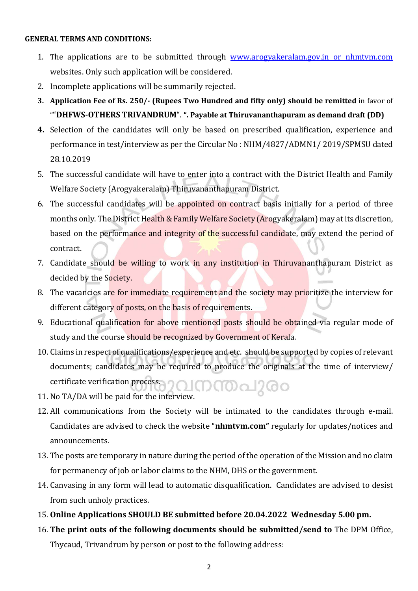## GENERAL TERMS AND CONDITIONS:

- 1. The applications are to be submitted through www.arogyakeralam.gov.in or nhmtvm.com websites. Only such application will be considered.
- 2. Incomplete applications will be summarily rejected.
- 3. Application Fee of Rs. 250/- (Rupees Two Hundred and fifty only) should be remitted in favor of ""DHFWS-OTHERS TRIVANDRUM". ". Payable at Thiruvananthapuram as demand draft (DD)
- 4. Selection of the candidates will only be based on prescribed qualification, experience and performance in test/interview as per the Circular No : NHM/4827/ADMN1/ 2019/SPMSU dated 28.10.2019
- 5. The successful candidate will have to enter into a contract with the District Health and Family Welfare Society (Arogyakeralam) Thiruvananthapuram District.
- 6. The successful candidates will be appointed on contract basis initially for a period of three months only. The District Health & Family Welfare Society (Arogyakeralam) may at its discretion, based on the performance and integrity of the successful candidate, may extend the period of contract.
- 7. Candidate should be willing to work in any institution in Thiruvananthapuram District as decided by the Society.
- 8. The vacancies are for immediate requirement and the society may prioritize the interview for different category of posts, on the basis of requirements.
- 9. Educational qualification for above mentioned posts should be obtained via regular mode of study and the course should be recognized by Government of Kerala.
- 10. Claims in respect of qualifications/experience and etc. should be supported by copies of relevant documents; candidates may be required to produce the originals at the time of interview/ certificate verification process. നന്തപുരം
- 11. No TA/DA will be paid for the interview.
- 12. All communications from the Society will be intimated to the candidates through e-mail. Candidates are advised to check the website "nhmtvm.com" regularly for updates/notices and announcements.
- 13. The posts are temporary in nature during the period of the operation of the Mission and no claim for permanency of job or labor claims to the NHM, DHS or the government.
- 14. Canvasing in any form will lead to automatic disqualification. Candidates are advised to desist from such unholy practices.
- 15. Online Applications SHOULD BE submitted before 20.04.2022 Wednesday 5.00 pm.
- 16. The print outs of the following documents should be submitted/send to The DPM Office, Thycaud, Trivandrum by person or post to the following address: